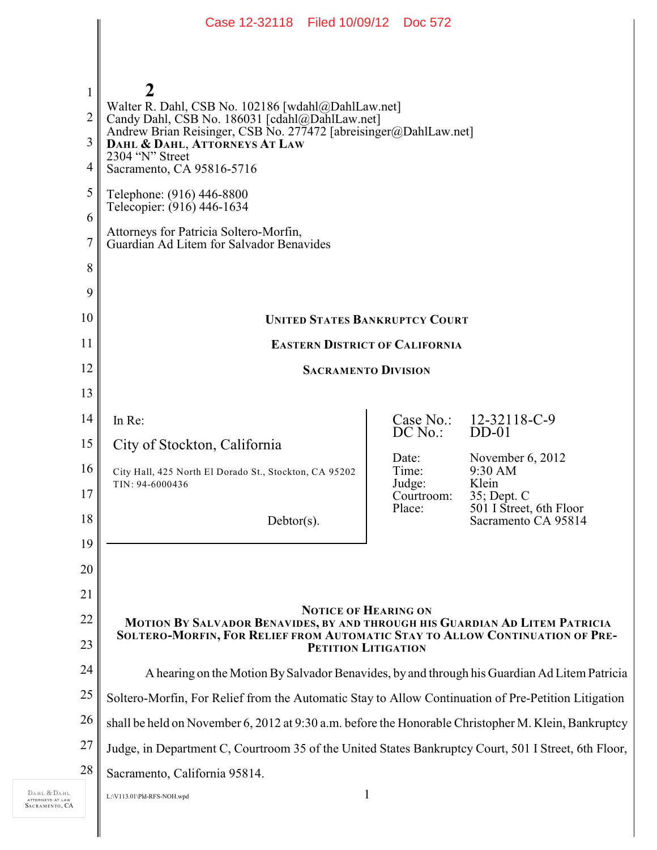|                  | Case 12-32118 Filed 10/09/12 Doc 572                                                                                                                                                                              |                      |                                                                                                                    |
|------------------|-------------------------------------------------------------------------------------------------------------------------------------------------------------------------------------------------------------------|----------------------|--------------------------------------------------------------------------------------------------------------------|
|                  |                                                                                                                                                                                                                   |                      |                                                                                                                    |
|                  |                                                                                                                                                                                                                   |                      |                                                                                                                    |
| $\mathbf{1}$     | 2<br>Walter R. Dahl, CSB No. 102186 [wdahl@DahlLaw.net]<br>Candy Dahl, CSB No. 186031 [cdahl@DahlLaw.net]<br>Andrew Brian Reisinger, CSB No. 277472 [abreisinger@DahlLaw.net]<br>DAHL & DAHL, ATTORNEYS AT LAW    |                      |                                                                                                                    |
| 2                |                                                                                                                                                                                                                   |                      |                                                                                                                    |
| 3                |                                                                                                                                                                                                                   |                      |                                                                                                                    |
| 4                | 2304 "N" Street<br>Sacramento, CA 95816-5716                                                                                                                                                                      |                      |                                                                                                                    |
| 5                | Telephone: (916) 446-8800<br>Telecopier: (916) 446-1634                                                                                                                                                           |                      |                                                                                                                    |
| 6                |                                                                                                                                                                                                                   |                      |                                                                                                                    |
| $\boldsymbol{7}$ | Attorneys for Patricia Soltero-Morfin,<br>Guardian Ad Litem for Salvador Benavides                                                                                                                                |                      |                                                                                                                    |
| 8                |                                                                                                                                                                                                                   |                      |                                                                                                                    |
| 9                |                                                                                                                                                                                                                   |                      |                                                                                                                    |
| 10               | <b>UNITED STATES BANKRUPTCY COURT</b>                                                                                                                                                                             |                      |                                                                                                                    |
| 11               | <b>EASTERN DISTRICT OF CALIFORNIA</b>                                                                                                                                                                             |                      |                                                                                                                    |
| 12               | <b>SACRAMENTO DIVISION</b>                                                                                                                                                                                        |                      |                                                                                                                    |
| 13               |                                                                                                                                                                                                                   |                      |                                                                                                                    |
| 14               | In Re:                                                                                                                                                                                                            |                      | Case No.: 12-32118-C-9                                                                                             |
| 15               | City of Stockton, California                                                                                                                                                                                      | $DC$ No.:            | $DD-01$<br>November $6, 2012$<br>9:30 AM<br>Klein<br>35; Dept. C<br>501 I Street, 6th Floor<br>Sacramento CA 95814 |
| 16               | City Hall, 425 North El Dorado St., Stockton, CA 95202<br>TIN: 94-6000436                                                                                                                                         | Date:<br>Time:       |                                                                                                                    |
| 17               |                                                                                                                                                                                                                   | Judge:<br>Courtroom: |                                                                                                                    |
| 18               | $Debtor(s)$ .                                                                                                                                                                                                     | Place:               |                                                                                                                    |
| 19               |                                                                                                                                                                                                                   |                      |                                                                                                                    |
| 20               |                                                                                                                                                                                                                   |                      |                                                                                                                    |
| 21               |                                                                                                                                                                                                                   |                      |                                                                                                                    |
| 22               | <b>NOTICE OF HEARING ON</b><br>MOTION BY SALVADOR BENAVIDES, BY AND THROUGH HIS GUARDIAN AD LITEM PATRICIA<br>SOLTERO-MORFIN, FOR RELIEF FROM AUTOMATIC STAY TO ALLOW CONTINUATION OF PRE-<br>PETITION LITIGATION |                      |                                                                                                                    |
| 23               |                                                                                                                                                                                                                   |                      |                                                                                                                    |
| 24               | A hearing on the Motion By Salvador Benavides, by and through his Guardian Ad Litem Patricia                                                                                                                      |                      |                                                                                                                    |
| 25               | Soltero-Morfin, For Relief from the Automatic Stay to Allow Continuation of Pre-Petition Litigation                                                                                                               |                      |                                                                                                                    |
| 26               | shall be held on November 6, 2012 at 9:30 a.m. before the Honorable Christopher M. Klein, Bankruptcy                                                                                                              |                      |                                                                                                                    |
| 27               | Judge, in Department C, Courtroom 35 of the United States Bankruptcy Court, 501 I Street, 6th Floor,                                                                                                              |                      |                                                                                                                    |
| 28               | Sacramento, California 95814.                                                                                                                                                                                     |                      |                                                                                                                    |
|                  | L:\V113.01\Pld-RFS-NOH.wpd                                                                                                                                                                                        | 1                    |                                                                                                                    |

DAHL & DAHL ATTORNEYS AT LAW SACRAMENTO , CA